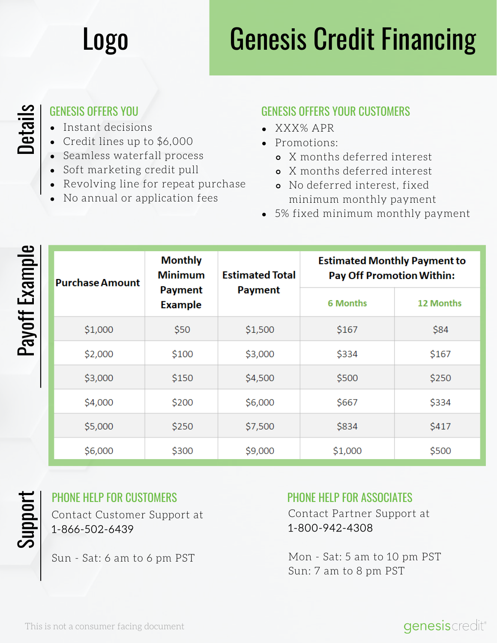# Logo

# Genesis Credit Financing

#### Det $\frac{|\mathbf{E}|}{|\mathbf{E}|}$

- Instant decisions
- Credit lines up to \$6,000
- Seamless waterfall process
- Soft marketing credit pull
- Revolving line for repeat purchase
- No annual or application fees

# GENESIS OFFERS YOU GENESIS OFFERS YOUR CUSTOMERS

- XXX% APR
- Promotions:
	- X months deferred interest
	- X months deferred interest
	- No deferred interest, fixed minimum monthly payment
- 5% fixed minimum monthly payment

| <b>Purchase Amount</b> | <b>Monthly</b><br><b>Minimum</b><br><b>Payment</b><br><b>Example</b> | <b>Estimated Total</b><br><b>Payment</b> | <b>Estimated Monthly Payment to</b><br><b>Pay Off Promotion Within:</b> |                  |
|------------------------|----------------------------------------------------------------------|------------------------------------------|-------------------------------------------------------------------------|------------------|
|                        |                                                                      |                                          | <b>6 Months</b>                                                         | <b>12 Months</b> |
| \$1,000                | \$50                                                                 | \$1,500                                  | \$167                                                                   | \$84             |
| \$2,000                | \$100                                                                | \$3,000                                  | \$334                                                                   | \$167            |
| \$3,000                | \$150                                                                | \$4,500                                  | \$500                                                                   | \$250            |
| \$4,000                | \$200                                                                | \$6,000                                  | \$667                                                                   | \$334            |
| \$5,000                | \$250                                                                | \$7,500                                  | \$834                                                                   | \$417            |
| \$6,000                | \$300                                                                | \$9,000                                  | \$1,000                                                                 | \$500            |

#### $\boldsymbol{\mathcal{S}}$  $\Rightarrow$  $\mathbf{\Omega}$  $\mathbf{\Omega}$ ort

## PHONE HELP FOR CUSTOMERS

Contact Customer Support at 1-866-502-6439

Sun - Sat: 6 am to 6 pm PST

## PHONE HELP FOR ASSOCIATES

Contact Partner Support at 1-800-942-4308

Mon - Sat: 5 am to 10 pm PST Sun: 7 am to 8 pm PST

# genesiscredit®